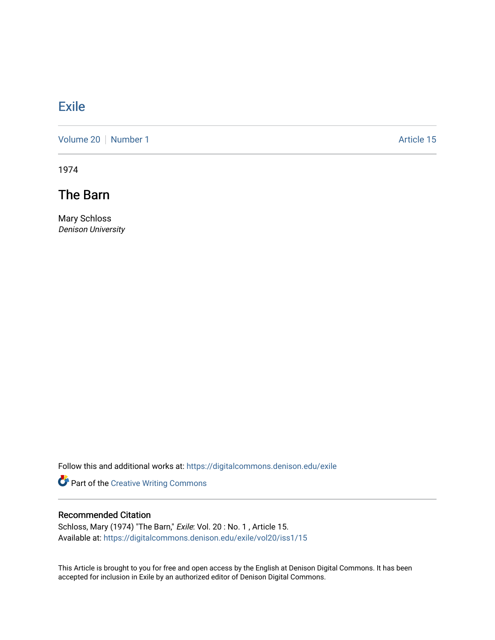# **[Exile](https://digitalcommons.denison.edu/exile)**

[Volume 20](https://digitalcommons.denison.edu/exile/vol20) [Number 1](https://digitalcommons.denison.edu/exile/vol20/iss1) Article 15

1974

The Barn

Mary Schloss Denison University

Follow this and additional works at: [https://digitalcommons.denison.edu/exile](https://digitalcommons.denison.edu/exile?utm_source=digitalcommons.denison.edu%2Fexile%2Fvol20%2Fiss1%2F15&utm_medium=PDF&utm_campaign=PDFCoverPages) 

Part of the [Creative Writing Commons](http://network.bepress.com/hgg/discipline/574?utm_source=digitalcommons.denison.edu%2Fexile%2Fvol20%2Fiss1%2F15&utm_medium=PDF&utm_campaign=PDFCoverPages) 

## Recommended Citation

Schloss, Mary (1974) "The Barn," Exile: Vol. 20 : No. 1 , Article 15. Available at: [https://digitalcommons.denison.edu/exile/vol20/iss1/15](https://digitalcommons.denison.edu/exile/vol20/iss1/15?utm_source=digitalcommons.denison.edu%2Fexile%2Fvol20%2Fiss1%2F15&utm_medium=PDF&utm_campaign=PDFCoverPages)

This Article is brought to you for free and open access by the English at Denison Digital Commons. It has been accepted for inclusion in Exile by an authorized editor of Denison Digital Commons.